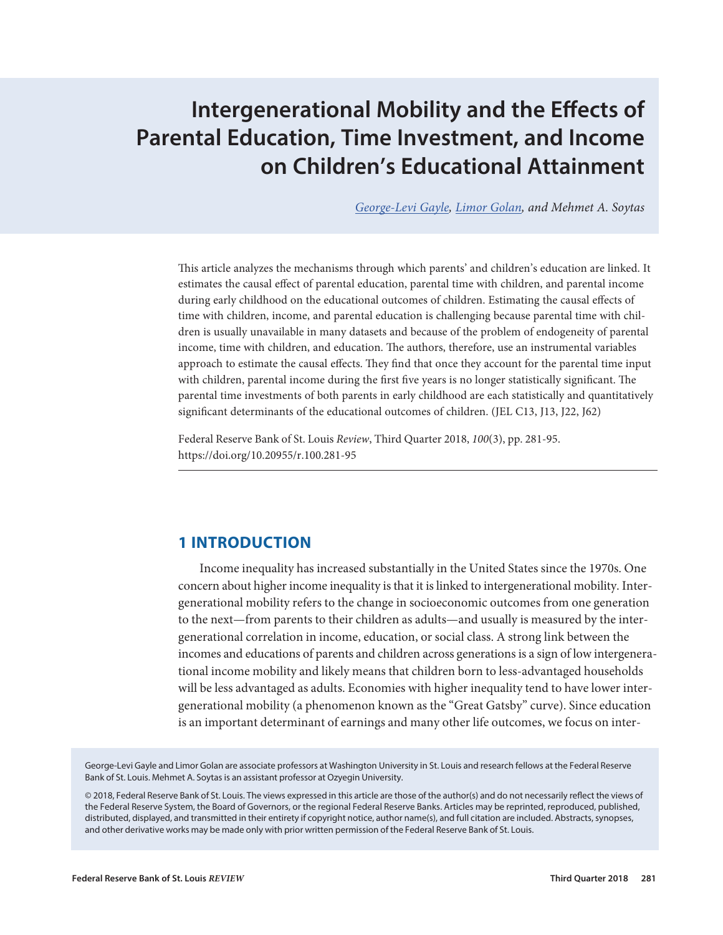# **Intergenerational Mobility and the Effects of Parental Education, Time Investment, and Income on Children's Educational Attainment**

*[George-Levi Gayle](https://research.stlouisfed.org/econ/gayle/sel/), [Limor Golan,](https://research.stlouisfed.org/econ/golan/jp/) and Mehmet A. Soytas*

This article analyzes the mechanisms through which parents' and children's education are linked. It estimates the causal effect of parental education, parental time with children, and parental income during early childhood on the educational outcomes of children. Estimating the causal effects of time with children, income, and parental education is challenging because parental time with children is usually unavailable in many datasets and because of the problem of endogeneity of parental income, time with children, and education. The authors, therefore, use an instrumental variables approach to estimate the causal effects. They find that once they account for the parental time input with children, parental income during the first five years is no longer statistically significant. The parental time investments of both parents in early childhood are each statistically and quantitatively significant determinants of the educational outcomes of children. (JEL C13, J13, J22, J62)

Federal Reserve Bank of St. Louis *Review*, Third Quarter 2018, 100(3), pp. 281-95. https://doi.org/10.20955/r.100.281-95

# **1 INTRODUCTION**

Income inequality has increased substantially in the United States since the 1970s. One concern about higher income inequality is that it is linked to intergenerational mobility. Intergenerational mobility refers to the change in socioeconomic outcomes from one generation to the next—from parents to their children as adults—and usually is measured by the intergenerational correlation in income, education, or social class. A strong link between the incomes and educations of parents and children across generations is a sign of low intergenerational income mobility and likely means that children born to less-advantaged households will be less advantaged as adults. Economies with higher inequality tend to have lower intergenerational mobility (a phenomenon known as the "Great Gatsby" curve). Since education is an important determinant of earnings and many other life outcomes, we focus on inter-

George-Levi Gayle and Limor Golan are associate professors at Washington University in St. Louis and research fellows at the Federal Reserve Bank of St. Louis. Mehmet A. Soytas is an assistant professor at Ozyegin University.

© 2018, Federal Reserve Bank of St. Louis. The views expressed in this article are those of the author(s) and do not necessarily reflect the views of the Federal Reserve System, the Board of Governors, or the regional Federal Reserve Banks. Articles may be reprinted, reproduced, published, distributed, displayed, and transmitted in their entirety if copyright notice, author name(s), and full citation are included. Abstracts, synopses, and other derivative works may be made only with prior written permission of the Federal Reserve Bank of St. Louis.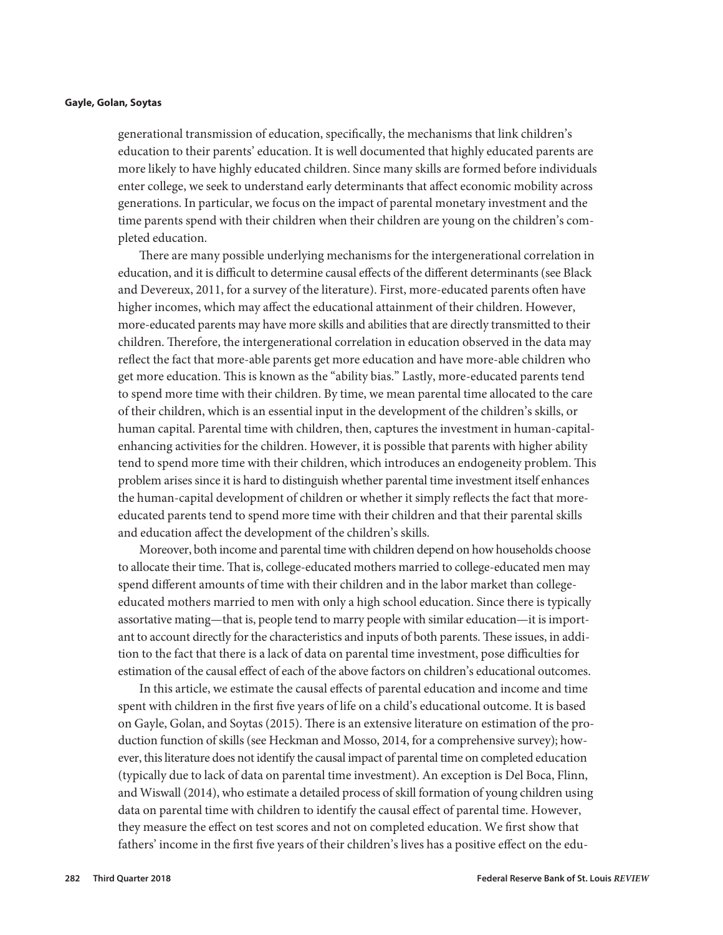generational transmission of education, specifically, the mechanisms that link children's education to their parents' education. It is well documented that highly educated parents are more likely to have highly educated children. Since many skills are formed before individuals enter college, we seek to understand early determinants that affect economic mobility across generations. In particular, we focus on the impact of parental monetary investment and the time parents spend with their children when their children are young on the children's completed education.

There are many possible underlying mechanisms for the intergenerational correlation in education, and it is difficult to determine causal effects of the different determinants (see Black and Devereux, 2011, for a survey of the literature). First, more-educated parents often have higher incomes, which may affect the educational attainment of their children. However, more-educated parents may have more skills and abilities that are directly transmitted to their children. Therefore, the intergenerational correlation in education observed in the data may reflect the fact that more-able parents get more education and have more-able children who get more education. This is known as the "ability bias." Lastly, more-educated parents tend to spend more time with their children. By time, we mean parental time allocated to the care of their children, which is an essential input in the development of the children's skills, or human capital. Parental time with children, then, captures the investment in human-capital-enhancing activities for the children. However, it is possible that parents with higher ability tend to spend more time with their children, which introduces an endogeneity problem. This problem arises since it is hard to distinguish whether parental time investment itself enhances the human-capital development of children or whether it simply reflects the fact that more-educated parents tend to spend more time with their children and that their parental skills and education affect the development of the children's skills.

Moreover, both income and parental time with children depend on how households choose to allocate their time. That is, college-educated mothers married to college-educated men may spend different amounts of time with their children and in the labor market than college-educated mothers married to men with only a high school education. Since there is typically assortative mating—that is, people tend to marry people with similar education—it is important to account directly for the characteristics and inputs of both parents. These issues, in addition to the fact that there is a lack of data on parental time investment, pose difficulties for estimation of the causal effect of each of the above factors on children's educational outcomes.

In this article, we estimate the causal effects of parental education and income and time spent with children in the first five years of life on a child's educational outcome. It is based on Gayle, Golan, and Soytas (2015). There is an extensive literature on estimation of the production function of skills (see Heckman and Mosso, 2014, for a comprehensive survey); however, this literature does not identify the causal impact of parental time on completed education (typically due to lack of data on parental time investment). An exception is Del Boca, Flinn, and Wiswall (2014), who estimate a detailed process of skill formation of young children using data on parental time with children to identify the causal effect of parental time. However, they measure the effect on test scores and not on completed education. We first show that fathers' income in the first five years of their children's lives has a positive effect on the edu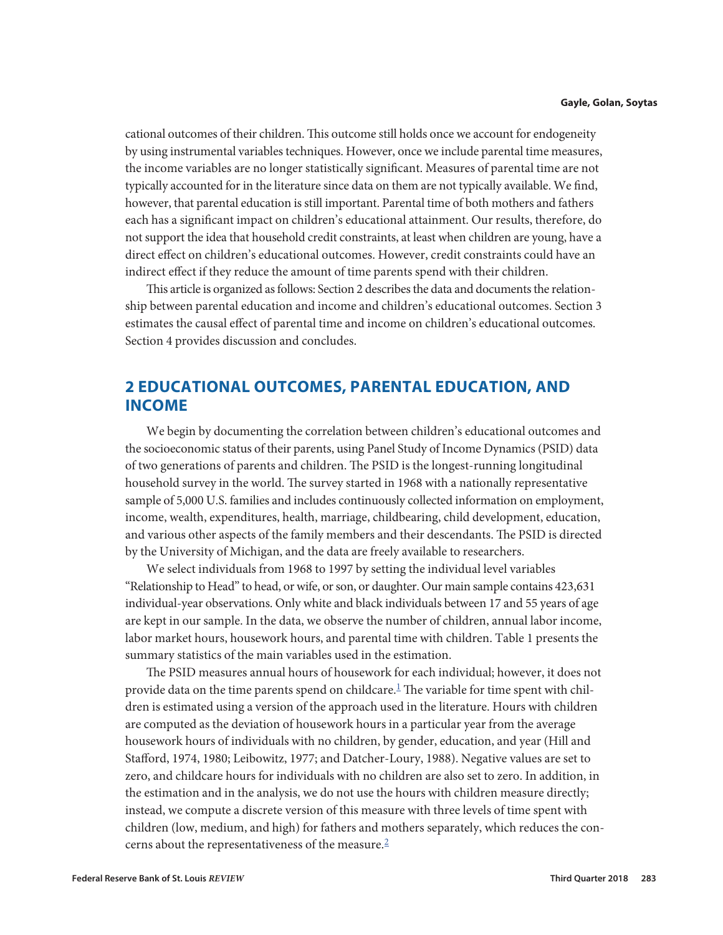<span id="page-2-0"></span>cational outcomes of their children. This outcome still holds once we account for endogeneity by using instrumental variables techniques. However, once we include parental time measures, the income variables are no longer statistically significant. Measures of parental time are not typically accounted for in the literature since data on them are not typically available. We find, however, that parental education is still important. Parental time of both mothers and fathers each has a significant impact on children's educational attainment. Our results, therefore, do not support the idea that household credit constraints, at least when children are young, have a direct effect on children's educational outcomes. However, credit constraints could have an indirect effect if they reduce the amount of time parents spend with their children.

This article is organized as follows: Section 2 describes the data and documents the relationship between parental education and income and children's educational outcomes. Section 3 estimates the causal effect of parental time and income on children's educational outcomes. Section 4 provides discussion and concludes.

# **2 EDUCATIONAL OUTCOMES, PARENTAL EDUCATION, AND INCOME**

We begin by documenting the correlation between children's educational outcomes and the socioeconomic status of their parents, using Panel Study of Income Dynamics (PSID) data of two generations of parents and children. The PSID is the longest-running longitudinal household survey in the world. The survey started in 1968 with a nationally representative sample of 5,000 U.S. families and includes continuously collected information on employment, income, wealth, expenditures, health, marriage, childbearing, child development, education, and various other aspects of the family members and their descendants. The PSID is directed by the University of Michigan, and the data are freely available to researchers.

We select individuals from 1968 to 1997 by setting the individual level variables "Relationship to Head" to head, or wife, or son, or daughter. Our main sample contains 423,631 individual-year observations. Only white and black individuals between 17 and 55 years of age are kept in our sample. In the data, we observe the number of children, annual labor income, labor market hours, housework hours, and parental time with children. Table 1 presents the summary statistics of the main variables used in the estimation.

The PSID measures annual hours of housework for each individual; however, it does not provide data on the time parents spend on childcare.<sup>1</sup> The variable for time spent with children is estimated using a version of the approach used in the literature. Hours with children are computed as the deviation of housework hours in a particular year from the average housework hours of individuals with no children, by gender, education, and year (Hill and Stafford, 1974, 1980; Leibowitz, 1977; and Datcher-Loury, 1988). Negative values are set to zero, and childcare hours for individuals with no children are also set to zero. In addition, in the estimation and in the analysis, we do not use the hours with children measure directly; instead, we compute a discrete version of this measure with three levels of time spent with children (low, medium, and high) for fathers and mothers separately, which reduces the concerns about the representativeness of the measure.[2](#page-13-0)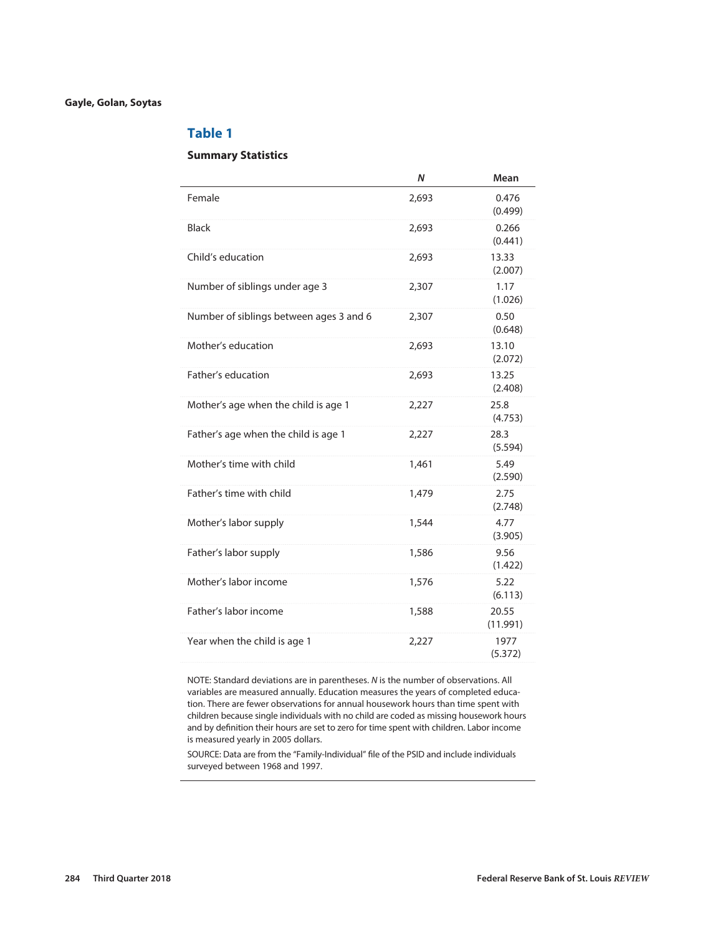# **Table 1**

# **Summary Statistics**

|                                         | Ν     | Mean              |
|-----------------------------------------|-------|-------------------|
| Female                                  | 2,693 | 0.476<br>(0.499)  |
| <b>Black</b>                            | 2,693 | 0.266<br>(0.441)  |
| Child's education                       | 2,693 | 13.33<br>(2.007)  |
| Number of siblings under age 3          | 2,307 | 1.17<br>(1.026)   |
| Number of siblings between ages 3 and 6 | 2,307 | 0.50<br>(0.648)   |
| Mother's education                      | 2,693 | 13.10<br>(2.072)  |
| Father's education                      | 2,693 | 13.25<br>(2.408)  |
| Mother's age when the child is age 1    | 2,227 | 25.8<br>(4.753)   |
| Father's age when the child is age 1    | 2,227 | 28.3<br>(5.594)   |
| Mother's time with child                | 1,461 | 5.49<br>(2.590)   |
| Father's time with child                | 1,479 | 2.75<br>(2.748)   |
| Mother's labor supply                   | 1,544 | 4.77<br>(3.905)   |
| Father's labor supply                   | 1,586 | 9.56<br>(1.422)   |
| Mother's labor income                   | 1,576 | 5.22<br>(6.113)   |
| Father's labor income                   | 1,588 | 20.55<br>(11.991) |
| Year when the child is age 1            | 2,227 | 1977<br>(5.372)   |
|                                         |       |                   |

NOTE: Standard deviations are in parentheses. *N* is the number of observations. All variables are measured annually. Education measures the years of completed education. There are fewer observations for annual housework hours than time spent with children because single individuals with no child are coded as missing housework hours and by definition their hours are set to zero for time spent with children. Labor income is measured yearly in 2005 dollars.

SOURCE: Data are from the "Family-Individual" file of the PSID and include individuals surveyed between 1968 and 1997.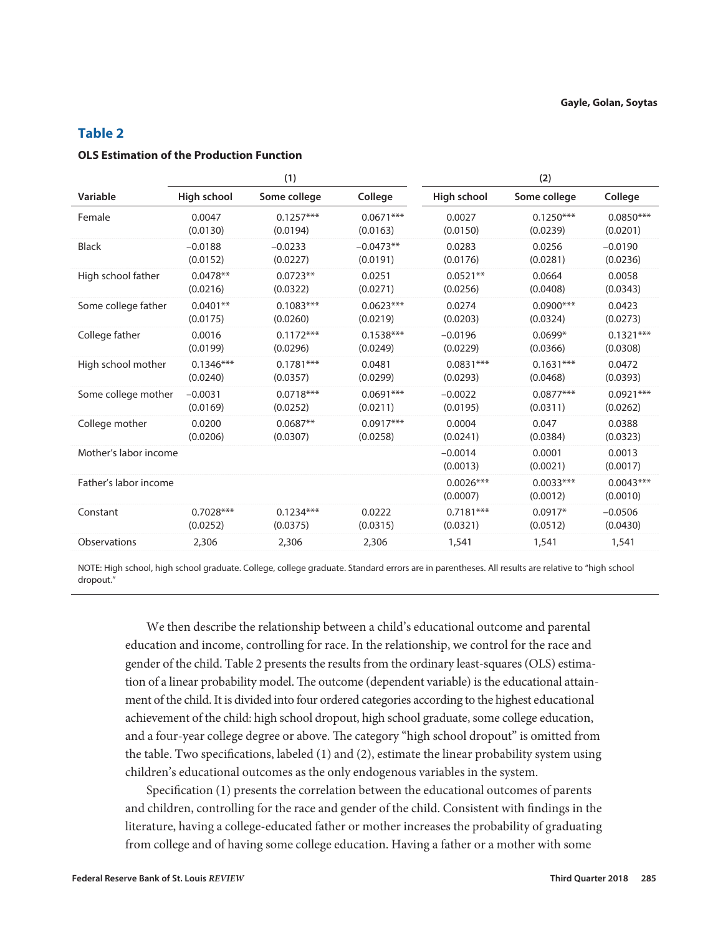# **Table 2**

# **OLS Estimation of the Production Function**

|                       |             | (1)          |             | (2)                     |                         |                         |
|-----------------------|-------------|--------------|-------------|-------------------------|-------------------------|-------------------------|
| Variable              | High school | Some college | College     | High school             | Some college            | College                 |
| Female                | 0.0047      | $0.1257***$  | $0.0671***$ | 0.0027                  | $0.1250***$             | $0.0850***$             |
|                       | (0.0130)    | (0.0194)     | (0.0163)    | (0.0150)                | (0.0239)                | (0.0201)                |
| <b>Black</b>          | $-0.0188$   | $-0.0233$    | $-0.0473**$ | 0.0283                  | 0.0256                  | $-0.0190$               |
|                       | (0.0152)    | (0.0227)     | (0.0191)    | (0.0176)                | (0.0281)                | (0.0236)                |
| High school father    | $0.0478**$  | $0.0723**$   | 0.0251      | $0.0521**$              | 0.0664                  | 0.0058                  |
|                       | (0.0216)    | (0.0322)     | (0.0271)    | (0.0256)                | (0.0408)                | (0.0343)                |
| Some college father   | $0.0401**$  | $0.1083***$  | $0.0623***$ | 0.0274                  | $0.0900***$             | 0.0423                  |
|                       | (0.0175)    | (0.0260)     | (0.0219)    | (0.0203)                | (0.0324)                | (0.0273)                |
| College father        | 0.0016      | $0.1172***$  | $0.1538***$ | $-0.0196$               | $0.0699*$               | $0.1321***$             |
|                       | (0.0199)    | (0.0296)     | (0.0249)    | (0.0229)                | (0.0366)                | (0.0308)                |
| High school mother    | $0.1346***$ | $0.1781***$  | 0.0481      | $0.0831***$             | $0.1631***$             | 0.0472                  |
|                       | (0.0240)    | (0.0357)     | (0.0299)    | (0.0293)                | (0.0468)                | (0.0393)                |
| Some college mother   | $-0.0031$   | $0.0718***$  | $0.0691***$ | $-0.0022$               | $0.0877***$             | $0.0921***$             |
|                       | (0.0169)    | (0.0252)     | (0.0211)    | (0.0195)                | (0.0311)                | (0.0262)                |
| College mother        | 0.0200      | $0.0687**$   | $0.0917***$ | 0.0004                  | 0.047                   | 0.0388                  |
|                       | (0.0206)    | (0.0307)     | (0.0258)    | (0.0241)                | (0.0384)                | (0.0323)                |
| Mother's labor income |             |              |             | $-0.0014$<br>(0.0013)   | 0.0001<br>(0.0021)      | 0.0013<br>(0.0017)      |
| Father's labor income |             |              |             | $0.0026***$<br>(0.0007) | $0.0033***$<br>(0.0012) | $0.0043***$<br>(0.0010) |
| Constant              | $0.7028***$ | $0.1234***$  | 0.0222      | $0.7181***$             | $0.0917*$               | $-0.0506$               |
|                       | (0.0252)    | (0.0375)     | (0.0315)    | (0.0321)                | (0.0512)                | (0.0430)                |
| Observations          | 2,306       | 2,306        | 2,306       | 1,541                   | 1,541                   | 1,541                   |

NOTE: High school, high school graduate. College, college graduate. Standard errors are in parentheses. All results are relative to "high school dropout."

We then describe the relationship between a child's educational outcome and parental education and income, controlling for race. In the relationship, we control for the race and gender of the child. Table 2 presents the results from the ordinary least-squares (OLS) estimation of a linear probability model. The outcome (dependent variable) is the educational attainment of the child. It is divided into four ordered categories according to the highest educational achievement of the child: high school dropout, high school graduate, some college education, and a four-year college degree or above. The category "high school dropout" is omitted from the table. Two specifications, labeled (1) and (2), estimate the linear probability system using children's educational outcomes as the only endogenous variables in the system.

Specification (1) presents the correlation between the educational outcomes of parents and children, controlling for the race and gender of the child. Consistent with findings in the literature, having a college-educated father or mother increases the probability of graduating from college and of having some college education. Having a father or a mother with some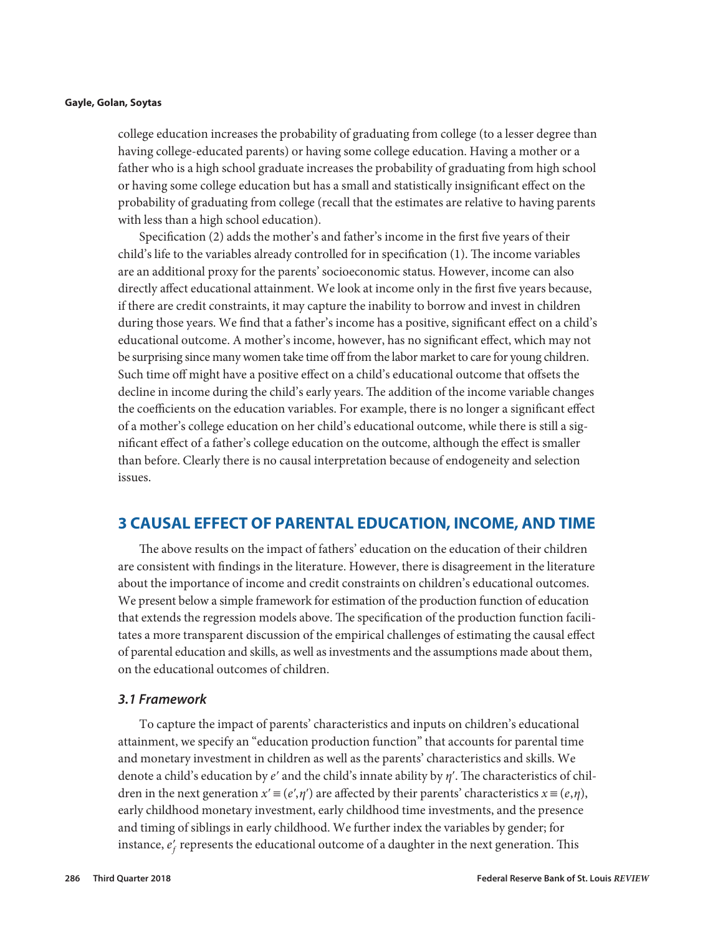college education increases the probability of graduating from college (to a lesser degree than having college-educated parents) or having some college education. Having a mother or a father who is a high school graduate increases the probability of graduating from high school or having some college education but has a small and statistically insignificant effect on the probability of graduating from college (recall that the estimates are relative to having parents with less than a high school education).

Specification (2) adds the mother's and father's income in the first five years of their child's life to the variables already controlled for in specification (1). The income variables are an additional proxy for the parents' socioeconomic status. However, income can also directly affect educational attainment. We look at income only in the first five years because, if there are credit constraints, it may capture the inability to borrow and invest in children during those years. We find that a father's income has a positive, significant effect on a child's educational outcome. A mother's income, however, has no significant effect, which may not be surprising since many women take time off from the labor market to care for young children. Such time off might have a positive effect on a child's educational outcome that offsets the decline in income during the child's early years. The addition of the income variable changes the coefficients on the education variables. For example, there is no longer a significant effect of a mother's college education on her child's educational outcome, while there is still a significant effect of a father's college education on the outcome, although the effect is smaller than before. Clearly there is no causal interpretation because of endogeneity and selection issues.

# **3 CAUSAL EFFECT OF PARENTAL EDUCATION, INCOME, AND TIME**

The above results on the impact of fathers' education on the education of their children are consistent with findings in the literature. However, there is disagreement in the literature about the importance of income and credit constraints on children's educational outcomes. We present below a simple framework for estimation of the production function of education that extends the regression models above. The specification of the production function facilitates a more transparent discussion of the empirical challenges of estimating the causal effect of parental education and skills, as well as investments and the assumptions made about them, on the educational outcomes of children.

# *3.1 Framework*

To capture the impact of parents' characteristics and inputs on children's educational attainment, we specify an "education production function" that accounts for parental time and monetary investment in children as well as the parents' characteristics and skills. We denote a child's education by *e*ʹ and the child's innate ability by *η*ʹ. The characteristics of children in the next generation  $x' \equiv (e', \eta')$  are affected by their parents' characteristics  $x \equiv (e, \eta)$ , early childhood monetary investment, early childhood time investments, and the presence and timing of siblings in early childhood. We further index the variables by gender; for instance,  $e'_{f}$  represents the educational outcome of a daughter in the next generation. This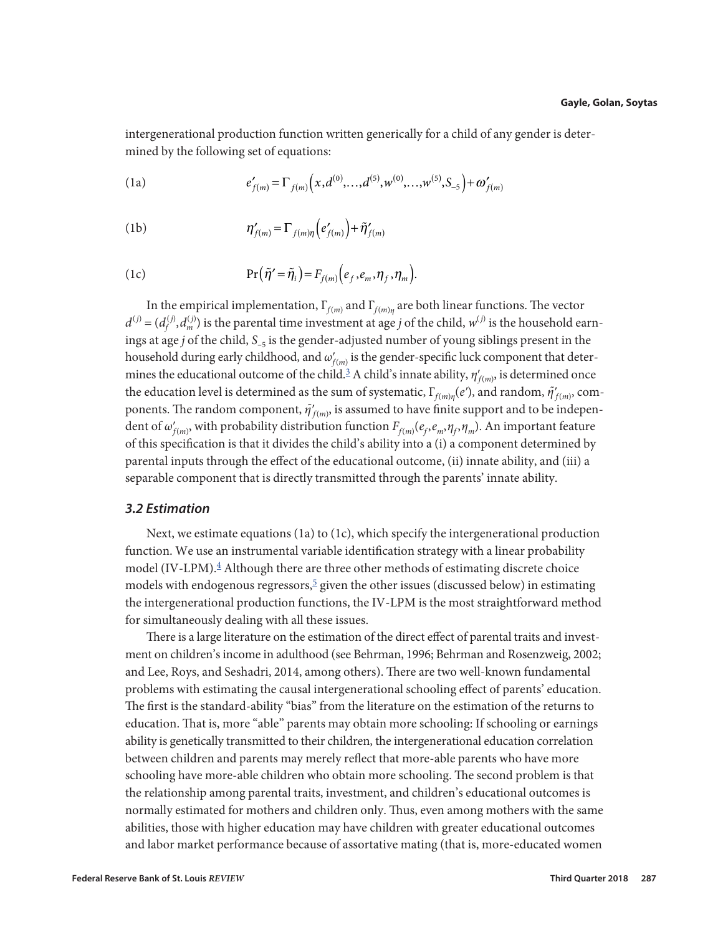<span id="page-6-0"></span>intergenerational production function written generically for a child of any gender is determined by the following set of equations:

(1a) 
$$
e'_{f(m)} = \Gamma_{f(m)}(x, d^{(0)}, \ldots, d^{(5)}, w^{(0)}, \ldots, w^{(5)}, S_{-5}) + \omega'_{f(m)}
$$

(1b) 
$$
\eta'_{f(m)} = \Gamma_{f(m)\eta} \left(e'_{f(m)}\right) + \tilde{\eta}'_{f(m)}
$$

(1c) 
$$
\Pr(\tilde{\eta}' = \tilde{\eta}_i) = F_{f(m)}(e_f, e_m, \eta_f, \eta_m).
$$

In the empirical implementation,  $\Gamma_{f(m)}$  and  $\Gamma_{f(m)\eta}$  are both linear functions. The vector  $d^{(j)} = (d_f^{(j)}, d_m^{(j)})$  is the parental time investment at age *j* of the child,  $w^{(j)}$  is the household earnings at age *j* of the child,  $S_{-5}$  is the gender-adjusted number of young siblings present in the household during early childhood, and  $\omega'_{f(m)}$  is the gender-specific luck component that determines the educational outcome of the child.<sup>3</sup> A child's innate ability,  $\eta'_{f(m)}$ , is determined once the education level is determined as the sum of systematic,  $\Gamma_{f(m)\eta}(e'),$  and random,  $\tilde{\eta}'_{f(m)}$ , components. The random component,  $\tilde{\eta}'_{f(m)}$ , is assumed to have finite support and to be independent of  $\omega'_{f(m)}$ , with probability distribution function  $F_{f(m)}(e_f, e_m, \eta_f, \eta_m)$ . An important feature of this specification is that it divides the child's ability into a (i) a component determined by parental inputs through the effect of the educational outcome, (ii) innate ability, and (iii) a separable component that is directly transmitted through the parents' innate ability.

# *3.2 Estimation*

Next, we estimate equations (1a) to (1c), which specify the intergenerational production function. We use an instrumental variable identification strategy with a linear probability model (IV-LPM).[4](#page-13-0) Although there are three other methods of estimating discrete choice models with endogenous regressors,  $\frac{5}{2}$  given the other issues (discussed below) in estimating the intergenerational production functions, the IV-LPM is the most straightforward method for simultaneously dealing with all these issues.

There is a large literature on the estimation of the direct effect of parental traits and investment on children's income in adulthood (see Behrman, 1996; Behrman and Rosenzweig, 2002; and Lee, Roys, and Seshadri, 2014, among others). There are two well-known fundamental problems with estimating the causal intergenerational schooling effect of parents' education. The first is the standard-ability "bias" from the literature on the estimation of the returns to education. That is, more "able" parents may obtain more schooling: If schooling or earnings ability is genetically transmitted to their children, the intergenerational education correlation between children and parents may merely reflect that more-able parents who have more schooling have more-able children who obtain more schooling. The second problem is that the relationship among parental traits, investment, and children's educational outcomes is normally estimated for mothers and children only. Thus, even among mothers with the same abilities, those with higher education may have children with greater educational outcomes and labor market performance because of assortative mating (that is, more-educated women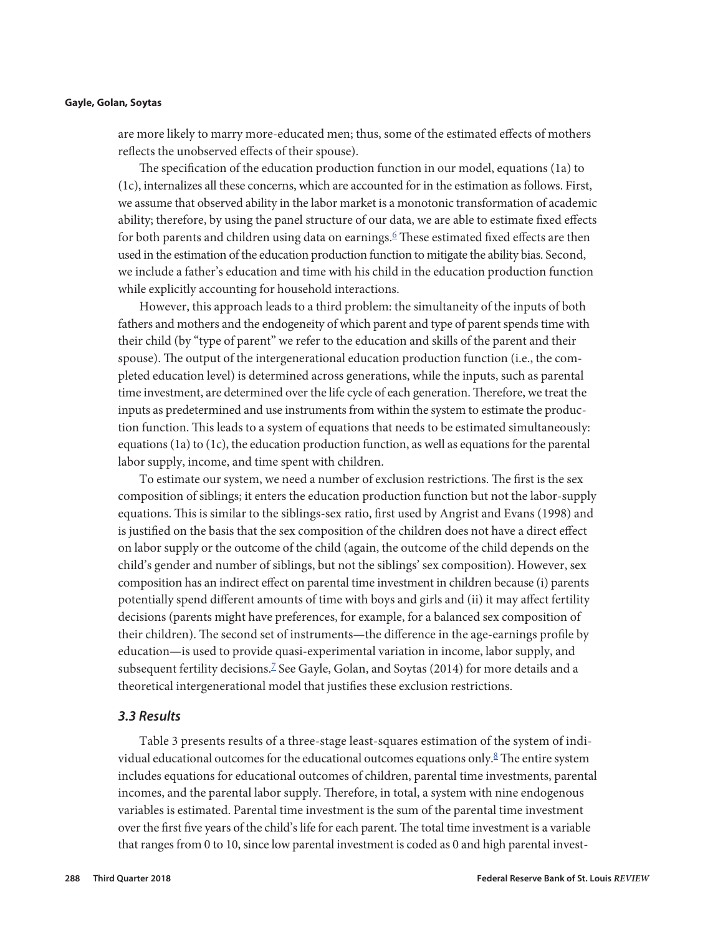<span id="page-7-0"></span>are more likely to marry more-educated men; thus, some of the estimated effects of mothers reflects the unobserved effects of their spouse).

The specification of the education production function in our model, equations (1a) to (1c), internalizes all these concerns, which are accounted for in the estimation as follows. First, we assume that observed ability in the labor market is a monotonic transformation of academic ability; therefore, by using the panel structure of our data, we are able to estimate fixed effects for both parents and children using data on earnings. $6$  These estimated fixed effects are then used in the estimation of the education production function to mitigate the ability bias. Second, we include a father's education and time with his child in the education production function while explicitly accounting for household interactions.

However, this approach leads to a third problem: the simultaneity of the inputs of both fathers and mothers and the endogeneity of which parent and type of parent spends time with their child (by "type of parent" we refer to the education and skills of the parent and their spouse). The output of the intergenerational education production function (i.e., the completed education level) is determined across generations, while the inputs, such as parental time investment, are determined over the life cycle of each generation. Therefore, we treat the inputs as predetermined and use instruments from within the system to estimate the production function. This leads to a system of equations that needs to be estimated simultaneously: equations (1a) to (1c), the education production function, as well as equations for the parental labor supply, income, and time spent with children.

To estimate our system, we need a number of exclusion restrictions. The first is the sex composition of siblings; it enters the education production function but not the labor-supply equations. This is similar to the siblings-sex ratio, first used by Angrist and Evans (1998) and is justified on the basis that the sex composition of the children does not have a direct effect on labor supply or the outcome of the child (again, the outcome of the child depends on the child's gender and number of siblings, but not the siblings' sex composition). However, sex composition has an indirect effect on parental time investment in children because (i) parents potentially spend different amounts of time with boys and girls and (ii) it may affect fertility decisions (parents might have preferences, for example, for a balanced sex composition of their children). The second set of instruments—the difference in the age-earnings profile by education—is used to provide quasi-experimental variation in income, labor supply, and subsequent fertility decisions.[7](#page-13-0) See Gayle, Golan, and Soytas (2014) for more details and a theoretical intergenerational model that justifies these exclusion restrictions.

# *3.3 Results*

Table 3 presents results of a three-stage least-squares estimation of the system of individual educational outcomes for the educational outcomes equations only. $8$  The entire system includes equations for educational outcomes of children, parental time investments, parental incomes, and the parental labor supply. Therefore, in total, a system with nine endogenous variables is estimated. Parental time investment is the sum of the parental time investment over the first five years of the child's life for each parent. The total time investment is a variable that ranges from 0 to 10, since low parental investment is coded as 0 and high parental invest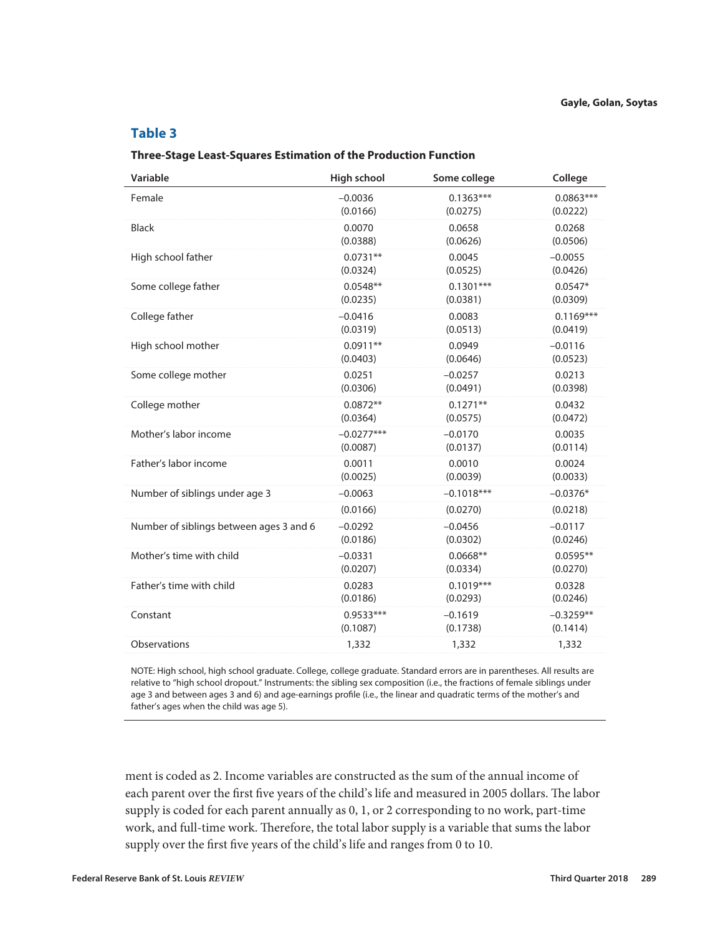# **Table 3**

### **Three-Stage Least-Squares Estimation of the Production Function**

| Variable                                | High school  | Some college | College     |
|-----------------------------------------|--------------|--------------|-------------|
| Female                                  | $-0.0036$    | $0.1363***$  | $0.0863***$ |
|                                         | (0.0166)     | (0.0275)     | (0.0222)    |
| <b>Black</b>                            | 0.0070       | 0.0658       | 0.0268      |
|                                         | (0.0388)     | (0.0626)     | (0.0506)    |
| High school father                      | $0.0731**$   | 0.0045       | $-0.0055$   |
|                                         | (0.0324)     | (0.0525)     | (0.0426)    |
| Some college father                     | $0.0548**$   | $0.1301***$  | $0.0547*$   |
|                                         | (0.0235)     | (0.0381)     | (0.0309)    |
| College father                          | $-0.0416$    | 0.0083       | $0.1169***$ |
|                                         | (0.0319)     | (0.0513)     | (0.0419)    |
| High school mother                      | $0.0911**$   | 0.0949       | $-0.0116$   |
|                                         | (0.0403)     | (0.0646)     | (0.0523)    |
| Some college mother                     | 0.0251       | $-0.0257$    | 0.0213      |
|                                         | (0.0306)     | (0.0491)     | (0.0398)    |
| College mother                          | $0.0872**$   | $0.1271**$   | 0.0432      |
|                                         | (0.0364)     | (0.0575)     | (0.0472)    |
| Mother's labor income                   | $-0.0277***$ | $-0.0170$    | 0.0035      |
|                                         | (0.0087)     | (0.0137)     | (0.0114)    |
| Father's labor income                   | 0.0011       | 0.0010       | 0.0024      |
|                                         | (0.0025)     | (0.0039)     | (0.0033)    |
| Number of siblings under age 3          | $-0.0063$    | $-0.1018***$ | $-0.0376*$  |
|                                         | (0.0166)     | (0.0270)     | (0.0218)    |
| Number of siblings between ages 3 and 6 | $-0.0292$    | $-0.0456$    | $-0.0117$   |
|                                         | (0.0186)     | (0.0302)     | (0.0246)    |
| Mother's time with child                | $-0.0331$    | $0.0668**$   | $0.0595**$  |
|                                         | (0.0207)     | (0.0334)     | (0.0270)    |
| Father's time with child                | 0.0283       | $0.1019***$  | 0.0328      |
|                                         | (0.0186)     | (0.0293)     | (0.0246)    |
| Constant                                | $0.9533***$  | $-0.1619$    | $-0.3259**$ |
|                                         | (0.1087)     | (0.1738)     | (0.1414)    |
| Observations                            | 1,332        | 1,332        | 1,332       |

NOTE: High school, high school graduate. College, college graduate. Standard errors are in parentheses. All results are relative to "high school dropout." Instruments: the sibling sex composition (i.e., the fractions of female siblings under age 3 and between ages 3 and 6) and age-earnings profile (i.e., the linear and quadratic terms of the mother's and father's ages when the child was age 5).

ment is coded as 2. Income variables are constructed as the sum of the annual income of each parent over the first five years of the child's life and measured in 2005 dollars. The labor supply is coded for each parent annually as 0, 1, or 2 corresponding to no work, part-time work, and full-time work. Therefore, the total labor supply is a variable that sums the labor supply over the first five years of the child's life and ranges from 0 to 10.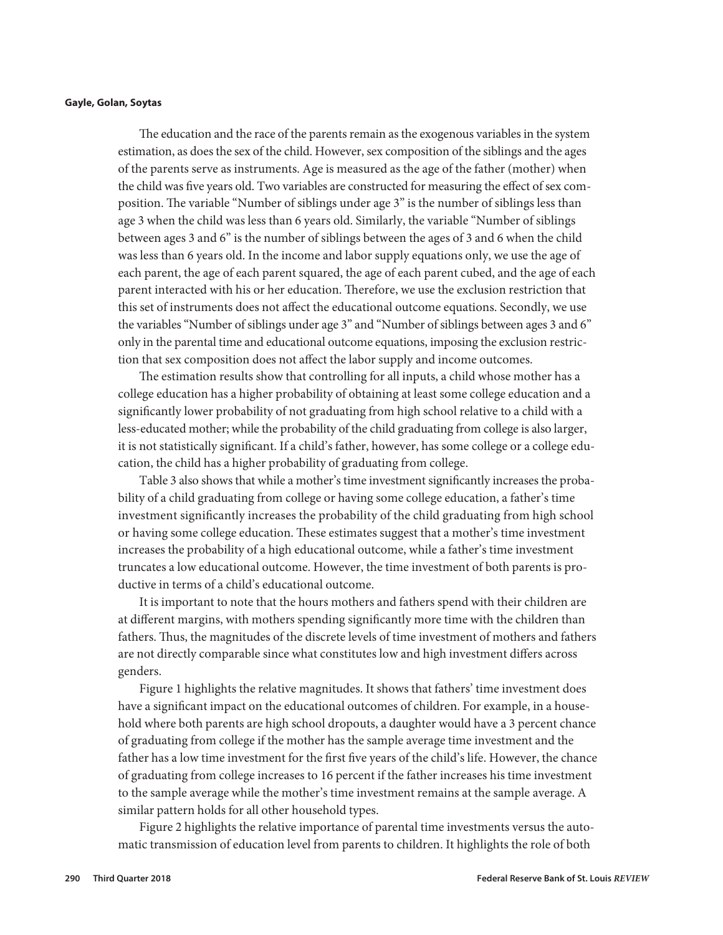The education and the race of the parents remain as the exogenous variables in the system estimation, as does the sex of the child. However, sex composition of the siblings and the ages of the parents serve as instruments. Age is measured as the age of the father (mother) when the child was five years old. Two variables are constructed for measuring the effect of sex composition. The variable "Number of siblings under age 3" is the number of siblings less than age 3 when the child was less than 6 years old. Similarly, the variable "Number of siblings between ages 3 and 6" is the number of siblings between the ages of 3 and 6 when the child was less than 6 years old. In the income and labor supply equations only, we use the age of each parent, the age of each parent squared, the age of each parent cubed, and the age of each parent interacted with his or her education. Therefore, we use the exclusion restriction that this set of instruments does not affect the educational outcome equations. Secondly, we use the variables "Number of siblings under age 3" and "Number of siblings between ages 3 and 6" only in the parental time and educational outcome equations, imposing the exclusion restriction that sex composition does not affect the labor supply and income outcomes.

The estimation results show that controlling for all inputs, a child whose mother has a college education has a higher probability of obtaining at least some college education and a significantly lower probability of not graduating from high school relative to a child with a less-educated mother; while the probability of the child graduating from college is also larger, it is not statistically significant. If a child's father, however, has some college or a college education, the child has a higher probability of graduating from college.

Table 3 also shows that while a mother's time investment significantly increases the probability of a child graduating from college or having some college education, a father's time investment significantly increases the probability of the child graduating from high school or having some college education. These estimates suggest that a mother's time investment increases the probability of a high educational outcome, while a father's time investment truncates a low educational outcome. However, the time investment of both parents is productive in terms of a child's educational outcome.

It is important to note that the hours mothers and fathers spend with their children are at different margins, with mothers spending significantly more time with the children than fathers. Thus, the magnitudes of the discrete levels of time investment of mothers and fathers are not directly comparable since what constitutes low and high investment differs across genders.

Figure 1 highlights the relative magnitudes. It shows that fathers' time investment does have a significant impact on the educational outcomes of children. For example, in a household where both parents are high school dropouts, a daughter would have a 3 percent chance of graduating from college if the mother has the sample average time investment and the father has a low time investment for the first five years of the child's life. However, the chance of graduating from college increases to 16 percent if the father increases his time investment to the sample average while the mother's time investment remains at the sample average. A similar pattern holds for all other household types.

Figure 2 highlights the relative importance of parental time investments versus the automatic transmission of education level from parents to children. It highlights the role of both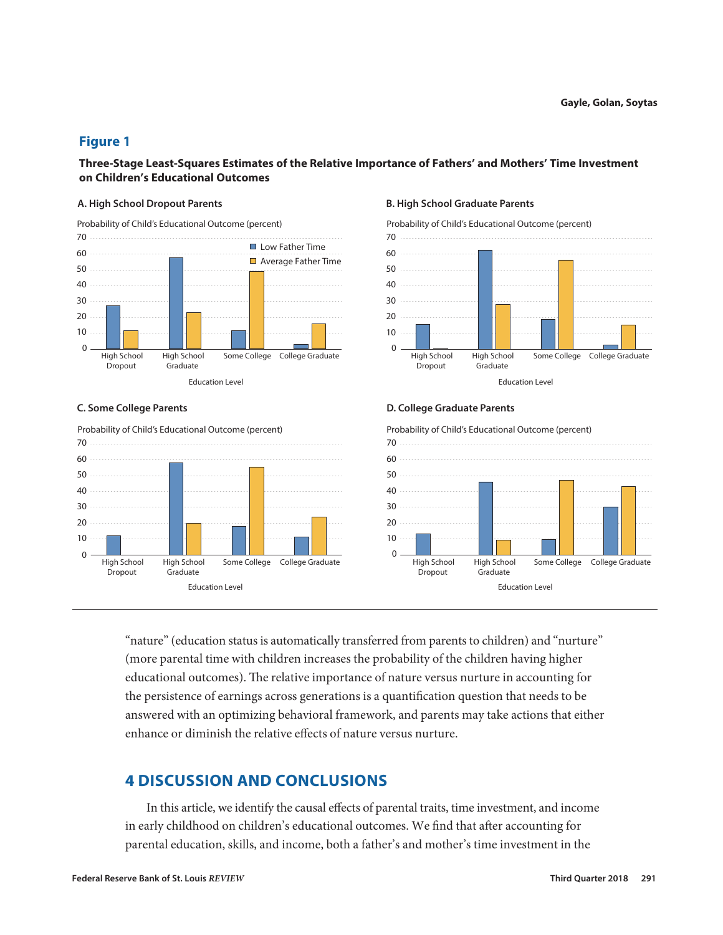# **Figure 1**

**Three-Stage Least-Squares Estimates of the Relative Importance of Fathers' and Mothers' Time Investment on Children's Educational Outcomes** 





### **A. High School Dropout Parents B. High School Graduate Parents**

![](_page_10_Figure_8.jpeg)

### **C. Some College Parents D. College Graduate Parents**

Probability of Child's Educational Outcome (percent)

![](_page_10_Figure_11.jpeg)

"nature" (education status is automatically transferred from parents to children) and "nurture" (more parental time with children increases the probability of the children having higher educational outcomes). The relative importance of nature versus nurture in accounting for the persistence of earnings across generations is a quantification question that needs to be answered with an optimizing behavioral framework, and parents may take actions that either enhance or diminish the relative effects of nature versus nurture.

# **4 DISCUSSION AND CONCLUSIONS**

In this article, we identify the causal effects of parental traits, time investment, and income in early childhood on children's educational outcomes. We find that after accounting for parental education, skills, and income, both a father's and mother's time investment in the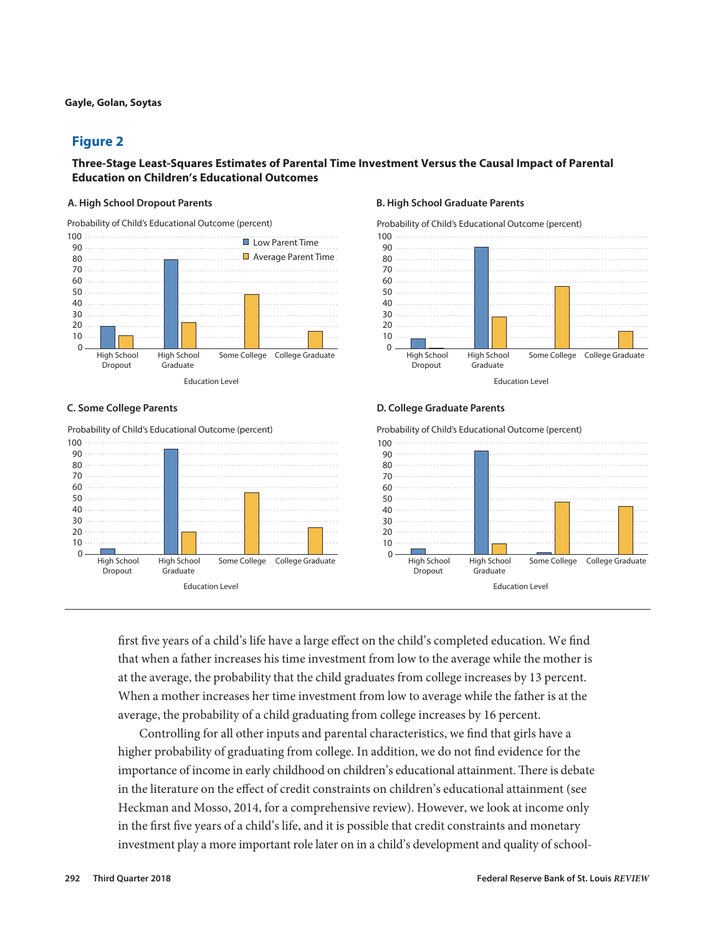# **Figure 2**

# **Three-Stage Least-Squares Estimates of Parental Time Investment Versus the Causal Impact of Parental Education on Children's Educational Outcomes**

100 **Low Parent Time** Probability of Child's Educational Outcome (percent)

![](_page_11_Figure_5.jpeg)

Probability of Child's Educational Outcome (percent)

![](_page_11_Figure_8.jpeg)

### **A. High School Dropout Parents B. High School Graduate Parents**

![](_page_11_Figure_10.jpeg)

### **C. Some College Parents D. College Graduate Parents**

Probability of Child's Educational Outcome (percent)

![](_page_11_Figure_13.jpeg)

first five years of a child's life have a large effect on the child's completed education. We find that when a father increases his time investment from low to the average while the mother is at the average, the probability that the child graduates from college increases by 13 percent. When a mother increases her time investment from low to average while the father is at the average, the probability of a child graduating from college increases by 16 percent.

Controlling for all other inputs and parental characteristics, we find that girls have a higher probability of graduating from college. In addition, we do not find evidence for the importance of income in early childhood on children's educational attainment. There is debate in the literature on the effect of credit constraints on children's educational attainment (see Heckman and Mosso, 2014, for a comprehensive review). However, we look at income only in the first five years of a child's life, and it is possible that credit constraints and monetary investment play a more important role later on in a child's development and quality of school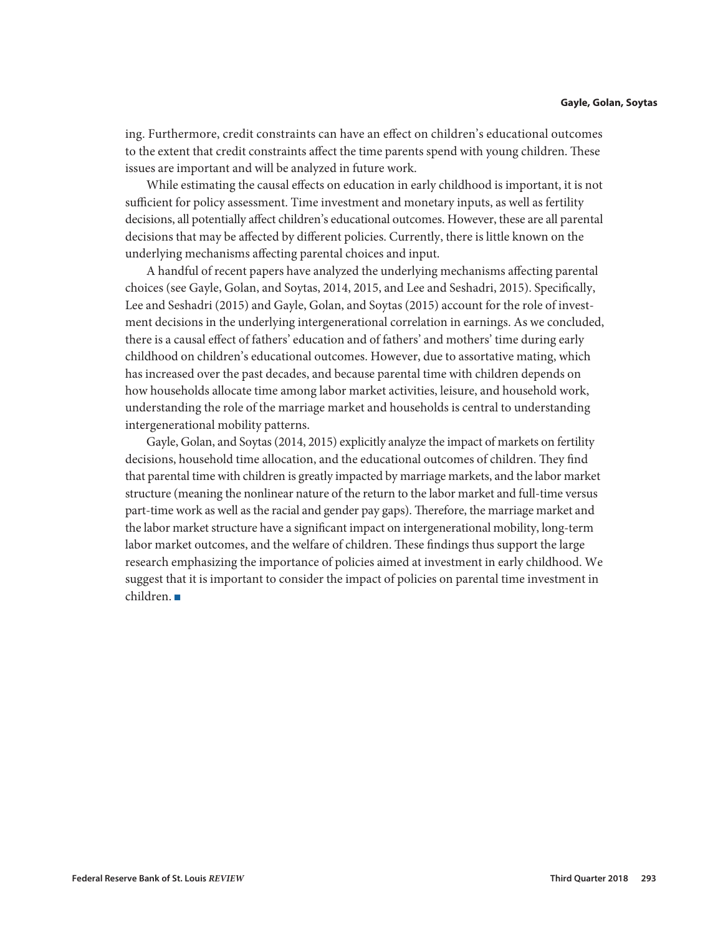ing. Furthermore, credit constraints can have an effect on children's educational outcomes to the extent that credit constraints affect the time parents spend with young children. These issues are important and will be analyzed in future work.

While estimating the causal effects on education in early childhood is important, it is not sufficient for policy assessment. Time investment and monetary inputs, as well as fertility decisions, all potentially affect children's educational outcomes. However, these are all parental decisions that may be affected by different policies. Currently, there is little known on the underlying mechanisms affecting parental choices and input.

A handful of recent papers have analyzed the underlying mechanisms affecting parental choices (see Gayle, Golan, and Soytas, 2014, 2015, and Lee and Seshadri, 2015). Specifically, Lee and Seshadri (2015) and Gayle, Golan, and Soytas (2015) account for the role of investment decisions in the underlying intergenerational correlation in earnings. As we concluded, there is a causal effect of fathers' education and of fathers' and mothers' time during early childhood on children's educational outcomes. However, due to assortative mating, which has increased over the past decades, and because parental time with children depends on how households allocate time among labor market activities, leisure, and household work, understanding the role of the marriage market and households is central to understanding intergenerational mobility patterns.

Gayle, Golan, and Soytas (2014, 2015) explicitly analyze the impact of markets on fertility decisions, household time allocation, and the educational outcomes of children. They find that parental time with children is greatly impacted by marriage markets, and the labor market structure (meaning the nonlinear nature of the return to the labor market and full-time versus part-time work as well as the racial and gender pay gaps). Therefore, the marriage market and the labor market structure have a significant impact on intergenerational mobility, long-term labor market outcomes, and the welfare of children. These findings thus support the large research emphasizing the importance of policies aimed at investment in early childhood. We suggest that it is important to consider the impact of policies on parental time investment in  $children.$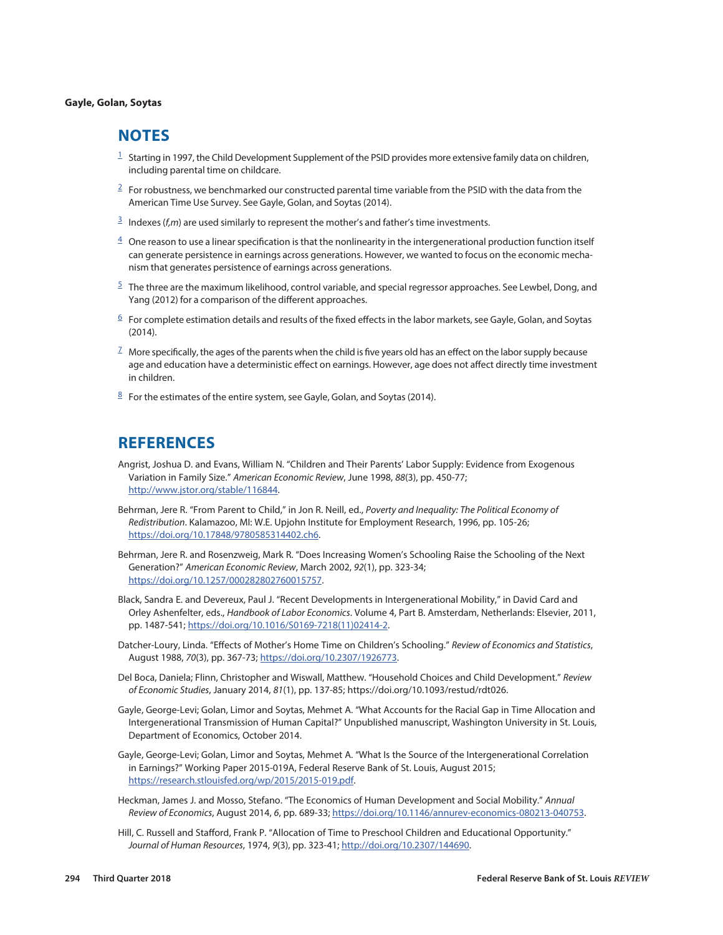# <span id="page-13-0"></span>**NOTES**

- $1$  Starting in 1997, the Child Development Supplement of the PSID provides more extensive family data on children, including parental time on childcare.
- $2 \text{ F}$  $2 \text{ F}$  For robustness, we benchmarked our constructed parental time variable from the PSID with the data from the American Time Use Survey. See Gayle, Golan, and Soytas (2014).
- $\frac{3}{2}$  $\frac{3}{2}$  $\frac{3}{2}$  Indexes (*f*,*m*) are used similarly to represent the mother's and father's time investments.
- $\frac{4}{3}$  $\frac{4}{3}$  $\frac{4}{3}$  One reason to use a linear specification is that the nonlinearity in the intergenerational production function itself can generate persistence in earnings across generations. However, we wanted to focus on the economic mechanism that generates persistence of earnings across generations.
- $5$  The three are the maximum likelihood, control variable, and special regressor approaches. See Lewbel, Dong, and Yang (2012) for a comparison of the different approaches.
- $6$  For complete estimation details and results of the fixed effects in the labor markets, see Gayle, Golan, and Soytas (2014).
- $^7$  $^7$  More specifically, the ages of the parents when the child is five years old has an effect on the labor supply because age and education have a deterministic effect on earnings. However, age does not affect directly time investment in children.
- $8$  For the estimates of the entire system, see Gayle, Golan, and Soytas (2014).

# **REFERENCES**

Angrist, Joshua D. and Evans, William N. "Children and Their Parents' Labor Supply: Evidence from Exogenous Variation in Family Size." *American Economic Review*, June 1998, *88*(3), pp. 450-77; <http://www.jstor.org/stable/116844>.

Behrman, Jere R. "From Parent to Child," in Jon R. Neill, ed., *Poverty and Inequality: The Political Economy of Redistribution*. Kalamazoo, MI: W.E. Upjohn Institute for Employment Research, 1996, pp. 105-26; [https://doi.org/10.17848/9780585314402.ch6.](https://doi.org/10.17848/9780585314402.ch6)

Behrman, Jere R. and Rosenzweig, Mark R. "Does Increasing Women's Schooling Raise the Schooling of the Next Generation?" *American Economic Review*, March 2002, *92*(1), pp. 323-34; [https://doi.org/10.1257/000282802760015757.](https://doi.org/10.1257/000282802760015757)

- Black, Sandra E. and Devereux, Paul J. "Recent Developments in Intergenerational Mobility," in David Card and Orley Ashenfelter, eds., *Handbook of Labor Economics*. Volume 4, Part B. Amsterdam, Netherlands: Elsevier, 2011, pp. 1487-541; [https://doi.org/10.1016/S0169-7218\(11\)02414-2.](https://doi.org/10.1016/S0169-7218(11)02414-2)
- Datcher-Loury, Linda. "Effects of Mother's Home Time on Children's Schooling." *Review of Economics and Statistics*, August 1988, *70*(3), pp. 367-73;<https://doi.org/10.2307/1926773>.
- Del Boca, Daniela; Flinn, Christopher and Wiswall, Matthew. "Household Choices and Child Development." *Review of Economic Studies*, January 2014, *81*(1), pp. 137-85; https://doi.org/10.1093/restud/rdt026.

Gayle, George-Levi; Golan, Limor and Soytas, Mehmet A. "What Accounts for the Racial Gap in Time Allocation and Intergenerational Transmission of Human Capital?" Unpublished manuscript, Washington University in St. Louis, Department of Economics, October 2014.

Gayle, George-Levi; Golan, Limor and Soytas, Mehmet A. "What Is the Source of the Intergenerational Correlation in Earnings?" Working Paper 2015-019A, Federal Reserve Bank of St. Louis, August 2015; [https://research.stlouisfed.org/wp/2015/2015-019.pdf.](https://research.stlouisfed.org/wp/2015/2015-019.pdf)

Heckman, James J. and Mosso, Stefano. "The Economics of Human Development and Social Mobility." *Annual Review of Economics*, August 2014, *6*, pp. 689-33; [https://doi.org/10.1146/annurev-economics-080213-040753.](https://doi.org/10.1146/annurev-economics-080213-040753)

Hill, C. Russell and Stafford, Frank P. "Allocation of Time to Preschool Children and Educational Opportunity." *Journal of Human Resources*, 1974, *9*(3), pp. 323-41; [http://doi.org/10.2307/144690.](http://doi.org/10.2307/144690)